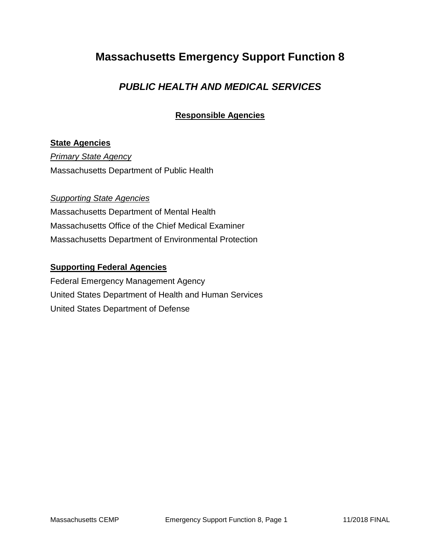# **Massachusetts Emergency Support Function 8**

## *PUBLIC HEALTH AND MEDICAL SERVICES*

## **Responsible Agencies**

#### **State Agencies**

*Primary State Agency* Massachusetts Department of Public Health

#### *Supporting State Agencies*

Massachusetts Department of Mental Health Massachusetts Office of the Chief Medical Examiner Massachusetts Department of Environmental Protection

#### **Supporting Federal Agencies**

Federal Emergency Management Agency United States Department of Health and Human Services United States Department of Defense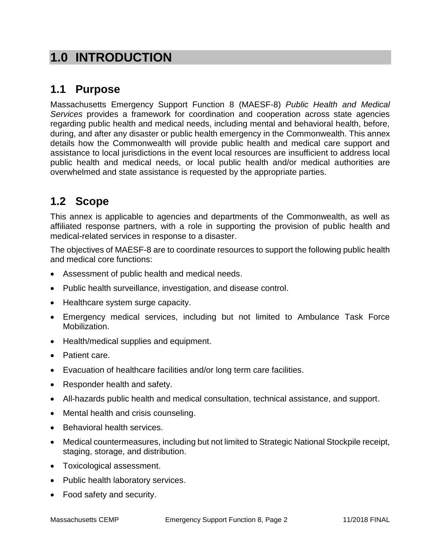# **1.0 INTRODUCTION**

# **1.1 Purpose**

Massachusetts Emergency Support Function 8 (MAESF-8) *Public Health and Medical Services* provides a framework for coordination and cooperation across state agencies regarding public health and medical needs, including mental and behavioral health, before, during, and after any disaster or public health emergency in the Commonwealth. This annex details how the Commonwealth will provide public health and medical care support and assistance to local jurisdictions in the event local resources are insufficient to address local public health and medical needs, or local public health and/or medical authorities are overwhelmed and state assistance is requested by the appropriate parties.

# **1.2 Scope**

This annex is applicable to agencies and departments of the Commonwealth, as well as affiliated response partners, with a role in supporting the provision of public health and medical-related services in response to a disaster.

The objectives of MAESF-8 are to coordinate resources to support the following public health and medical core functions:

- Assessment of public health and medical needs.
- Public health surveillance, investigation, and disease control.
- Healthcare system surge capacity.
- Emergency medical services, including but not limited to Ambulance Task Force Mobilization.
- Health/medical supplies and equipment.
- Patient care.
- Evacuation of healthcare facilities and/or long term care facilities.
- Responder health and safety.
- All-hazards public health and medical consultation, technical assistance, and support.
- Mental health and crisis counseling.
- Behavioral health services.
- Medical countermeasures, including but not limited to Strategic National Stockpile receipt, staging, storage, and distribution.
- Toxicological assessment.
- Public health laboratory services.
- Food safety and security.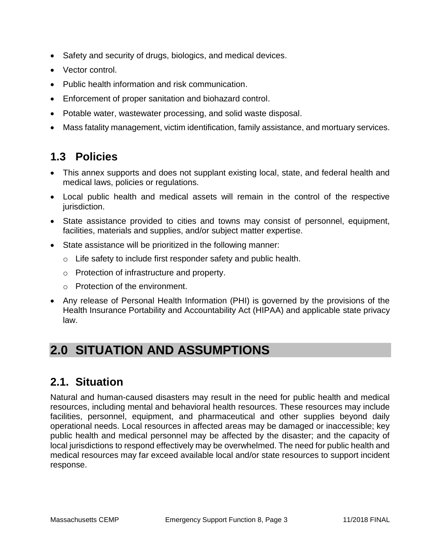- Safety and security of drugs, biologics, and medical devices.
- Vector control.
- Public health information and risk communication.
- Enforcement of proper sanitation and biohazard control.
- Potable water, wastewater processing, and solid waste disposal.
- Mass fatality management, victim identification, family assistance, and mortuary services.

# **1.3 Policies**

- This annex supports and does not supplant existing local, state, and federal health and medical laws, policies or regulations.
- Local public health and medical assets will remain in the control of the respective jurisdiction.
- State assistance provided to cities and towns may consist of personnel, equipment, facilities, materials and supplies, and/or subject matter expertise.
- State assistance will be prioritized in the following manner:
	- $\circ$  Life safety to include first responder safety and public health.
	- o Protection of infrastructure and property.
	- o Protection of the environment.
- Any release of Personal Health Information (PHI) is governed by the provisions of the Health Insurance Portability and Accountability Act (HIPAA) and applicable state privacy law.

# **2.0 SITUATION AND ASSUMPTIONS**

## **2.1. Situation**

Natural and human-caused disasters may result in the need for public health and medical resources, including mental and behavioral health resources. These resources may include facilities, personnel, equipment, and pharmaceutical and other supplies beyond daily operational needs. Local resources in affected areas may be damaged or inaccessible; key public health and medical personnel may be affected by the disaster; and the capacity of local jurisdictions to respond effectively may be overwhelmed. The need for public health and medical resources may far exceed available local and/or state resources to support incident response.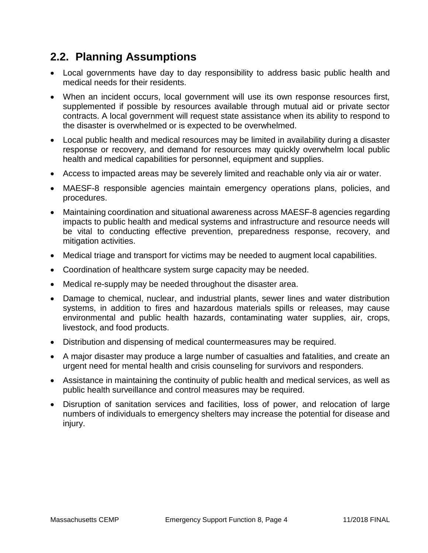# **2.2. Planning Assumptions**

- Local governments have day to day responsibility to address basic public health and medical needs for their residents.
- When an incident occurs, local government will use its own response resources first, supplemented if possible by resources available through mutual aid or private sector contracts. A local government will request state assistance when its ability to respond to the disaster is overwhelmed or is expected to be overwhelmed.
- Local public health and medical resources may be limited in availability during a disaster response or recovery, and demand for resources may quickly overwhelm local public health and medical capabilities for personnel, equipment and supplies.
- Access to impacted areas may be severely limited and reachable only via air or water.
- MAESF-8 responsible agencies maintain emergency operations plans, policies, and procedures.
- Maintaining coordination and situational awareness across MAESF-8 agencies regarding impacts to public health and medical systems and infrastructure and resource needs will be vital to conducting effective prevention, preparedness response, recovery, and mitigation activities.
- Medical triage and transport for victims may be needed to augment local capabilities.
- Coordination of healthcare system surge capacity may be needed.
- Medical re-supply may be needed throughout the disaster area.
- Damage to chemical, nuclear, and industrial plants, sewer lines and water distribution systems, in addition to fires and hazardous materials spills or releases, may cause environmental and public health hazards, contaminating water supplies, air, crops, livestock, and food products.
- Distribution and dispensing of medical countermeasures may be required.
- A major disaster may produce a large number of casualties and fatalities, and create an urgent need for mental health and crisis counseling for survivors and responders.
- Assistance in maintaining the continuity of public health and medical services, as well as public health surveillance and control measures may be required.
- Disruption of sanitation services and facilities, loss of power, and relocation of large numbers of individuals to emergency shelters may increase the potential for disease and injury.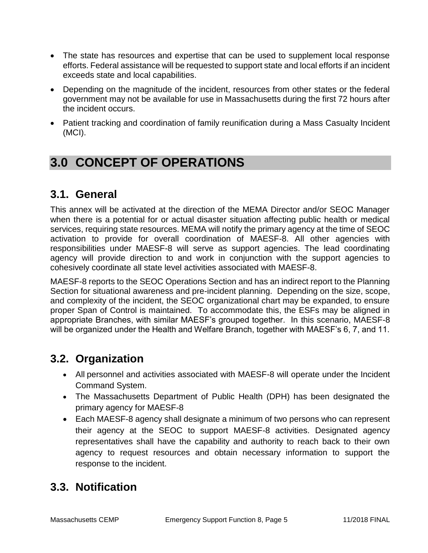- The state has resources and expertise that can be used to supplement local response efforts. Federal assistance will be requested to support state and local efforts if an incident exceeds state and local capabilities.
- Depending on the magnitude of the incident, resources from other states or the federal government may not be available for use in Massachusetts during the first 72 hours after the incident occurs.
- Patient tracking and coordination of family reunification during a Mass Casualty Incident (MCI).

# **3.0 CONCEPT OF OPERATIONS**

# **3.1. General**

This annex will be activated at the direction of the MEMA Director and/or SEOC Manager when there is a potential for or actual disaster situation affecting public health or medical services, requiring state resources. MEMA will notify the primary agency at the time of SEOC activation to provide for overall coordination of MAESF-8. All other agencies with responsibilities under MAESF-8 will serve as support agencies. The lead coordinating agency will provide direction to and work in conjunction with the support agencies to cohesively coordinate all state level activities associated with MAESF-8.

MAESF-8 reports to the SEOC Operations Section and has an indirect report to the Planning Section for situational awareness and pre-incident planning. Depending on the size, scope, and complexity of the incident, the SEOC organizational chart may be expanded, to ensure proper Span of Control is maintained. To accommodate this, the ESFs may be aligned in appropriate Branches, with similar MAESF's grouped together. In this scenario, MAESF-8 will be organized under the Health and Welfare Branch, together with MAESF's 6, 7, and 11.

## **3.2. Organization**

- All personnel and activities associated with MAESF-8 will operate under the Incident Command System.
- The Massachusetts Department of Public Health (DPH) has been designated the primary agency for MAESF-8
- Each MAESF-8 agency shall designate a minimum of two persons who can represent their agency at the SEOC to support MAESF-8 activities. Designated agency representatives shall have the capability and authority to reach back to their own agency to request resources and obtain necessary information to support the response to the incident.

# **3.3. Notification**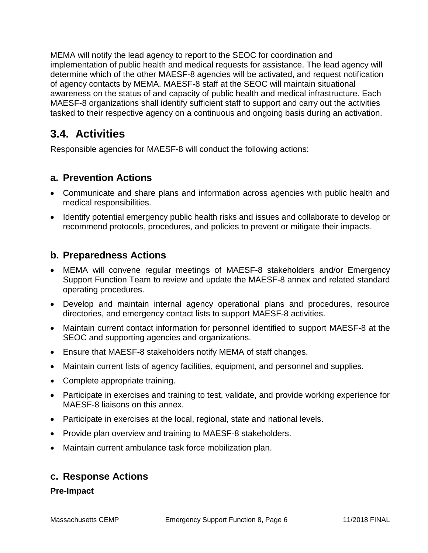MEMA will notify the lead agency to report to the SEOC for coordination and implementation of public health and medical requests for assistance. The lead agency will determine which of the other MAESF-8 agencies will be activated, and request notification of agency contacts by MEMA. MAESF-8 staff at the SEOC will maintain situational awareness on the status of and capacity of public health and medical infrastructure. Each MAESF-8 organizations shall identify sufficient staff to support and carry out the activities tasked to their respective agency on a continuous and ongoing basis during an activation.

# **3.4. Activities**

Responsible agencies for MAESF-8 will conduct the following actions:

## **a. Prevention Actions**

- Communicate and share plans and information across agencies with public health and medical responsibilities.
- Identify potential emergency public health risks and issues and collaborate to develop or recommend protocols, procedures, and policies to prevent or mitigate their impacts.

## **b. Preparedness Actions**

- MEMA will convene regular meetings of MAESF-8 stakeholders and/or Emergency Support Function Team to review and update the MAESF-8 annex and related standard operating procedures.
- Develop and maintain internal agency operational plans and procedures, resource directories, and emergency contact lists to support MAESF-8 activities.
- Maintain current contact information for personnel identified to support MAESF-8 at the SEOC and supporting agencies and organizations.
- Ensure that MAESF-8 stakeholders notify MEMA of staff changes.
- Maintain current lists of agency facilities, equipment, and personnel and supplies.
- Complete appropriate training.
- Participate in exercises and training to test, validate, and provide working experience for MAESF-8 liaisons on this annex.
- Participate in exercises at the local, regional, state and national levels.
- Provide plan overview and training to MAESF-8 stakeholders.
- Maintain current ambulance task force mobilization plan.

### **c. Response Actions**

#### **Pre-Impact**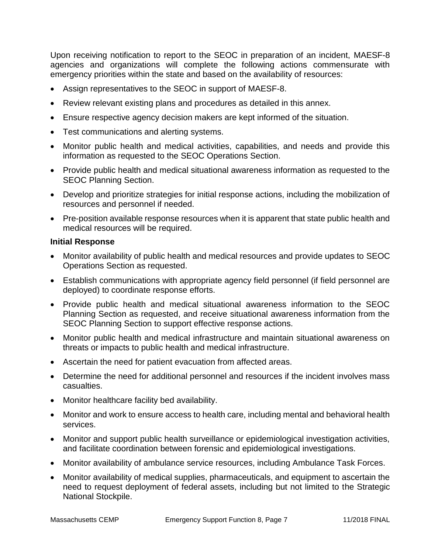Upon receiving notification to report to the SEOC in preparation of an incident, MAESF-8 agencies and organizations will complete the following actions commensurate with emergency priorities within the state and based on the availability of resources:

- Assign representatives to the SEOC in support of MAESF-8.
- Review relevant existing plans and procedures as detailed in this annex.
- Ensure respective agency decision makers are kept informed of the situation.
- Test communications and alerting systems.
- Monitor public health and medical activities, capabilities, and needs and provide this information as requested to the SEOC Operations Section.
- Provide public health and medical situational awareness information as requested to the SEOC Planning Section.
- Develop and prioritize strategies for initial response actions, including the mobilization of resources and personnel if needed.
- Pre-position available response resources when it is apparent that state public health and medical resources will be required.

#### **Initial Response**

- Monitor availability of public health and medical resources and provide updates to SEOC Operations Section as requested.
- Establish communications with appropriate agency field personnel (if field personnel are deployed) to coordinate response efforts.
- Provide public health and medical situational awareness information to the SEOC Planning Section as requested, and receive situational awareness information from the SEOC Planning Section to support effective response actions.
- Monitor public health and medical infrastructure and maintain situational awareness on threats or impacts to public health and medical infrastructure.
- Ascertain the need for patient evacuation from affected areas.
- Determine the need for additional personnel and resources if the incident involves mass casualties.
- Monitor healthcare facility bed availability.
- Monitor and work to ensure access to health care, including mental and behavioral health services.
- Monitor and support public health surveillance or epidemiological investigation activities, and facilitate coordination between forensic and epidemiological investigations.
- Monitor availability of ambulance service resources, including Ambulance Task Forces.
- Monitor availability of medical supplies, pharmaceuticals, and equipment to ascertain the need to request deployment of federal assets, including but not limited to the Strategic National Stockpile.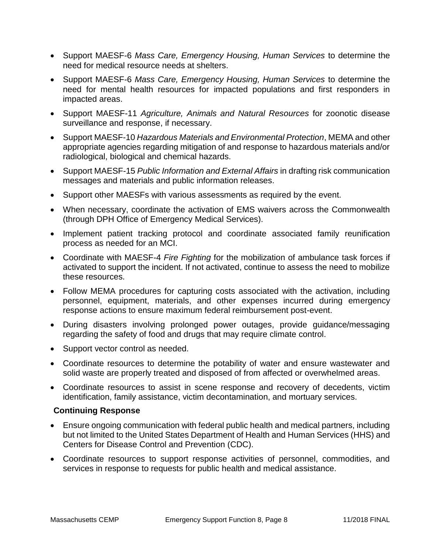- Support MAESF-6 *Mass Care, Emergency Housing, Human Services* to determine the need for medical resource needs at shelters.
- Support MAESF-6 *Mass Care, Emergency Housing, Human Services* to determine the need for mental health resources for impacted populations and first responders in impacted areas.
- Support MAESF-11 *Agriculture, Animals and Natural Resources* for zoonotic disease surveillance and response, if necessary.
- Support MAESF-10 *Hazardous Materials and Environmental Protection*, MEMA and other appropriate agencies regarding mitigation of and response to hazardous materials and/or radiological, biological and chemical hazards.
- Support MAESF-15 *Public Information and External Affairs* in drafting risk communication messages and materials and public information releases.
- Support other MAESFs with various assessments as required by the event.
- When necessary, coordinate the activation of EMS waivers across the Commonwealth (through DPH Office of Emergency Medical Services).
- Implement patient tracking protocol and coordinate associated family reunification process as needed for an MCI.
- Coordinate with MAESF-4 *Fire Fighting* for the mobilization of ambulance task forces if activated to support the incident. If not activated, continue to assess the need to mobilize these resources.
- Follow MEMA procedures for capturing costs associated with the activation, including personnel, equipment, materials, and other expenses incurred during emergency response actions to ensure maximum federal reimbursement post-event.
- During disasters involving prolonged power outages, provide guidance/messaging regarding the safety of food and drugs that may require climate control.
- Support vector control as needed.
- Coordinate resources to determine the potability of water and ensure wastewater and solid waste are properly treated and disposed of from affected or overwhelmed areas.
- Coordinate resources to assist in scene response and recovery of decedents, victim identification, family assistance, victim decontamination, and mortuary services.

#### **Continuing Response**

- Ensure ongoing communication with federal public health and medical partners, including but not limited to the United States Department of Health and Human Services (HHS) and Centers for Disease Control and Prevention (CDC).
- Coordinate resources to support response activities of personnel, commodities, and services in response to requests for public health and medical assistance.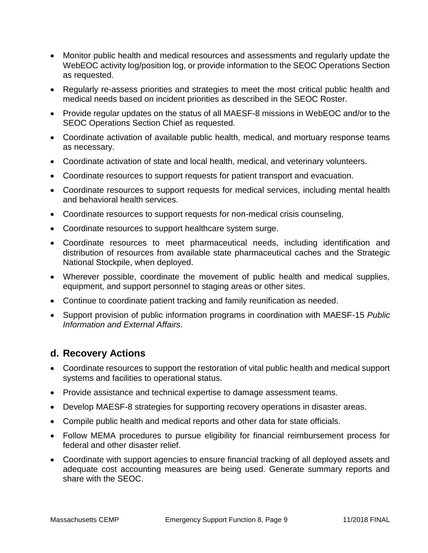- Monitor public health and medical resources and assessments and regularly update the WebEOC activity log/position log, or provide information to the SEOC Operations Section as requested.
- Regularly re-assess priorities and strategies to meet the most critical public health and medical needs based on incident priorities as described in the SEOC Roster.
- Provide regular updates on the status of all MAESF-8 missions in WebEOC and/or to the SEOC Operations Section Chief as requested*.*
- Coordinate activation of available public health, medical, and mortuary response teams as necessary.
- Coordinate activation of state and local health, medical, and veterinary volunteers.
- Coordinate resources to support requests for patient transport and evacuation.
- Coordinate resources to support requests for medical services, including mental health and behavioral health services.
- Coordinate resources to support requests for non-medical crisis counseling,
- Coordinate resources to support healthcare system surge.
- Coordinate resources to meet pharmaceutical needs, including identification and distribution of resources from available state pharmaceutical caches and the Strategic National Stockpile, when deployed.
- Wherever possible, coordinate the movement of public health and medical supplies, equipment, and support personnel to staging areas or other sites.
- Continue to coordinate patient tracking and family reunification as needed.
- Support provision of public information programs in coordination with MAESF-15 *Public Information and External Affairs*.

### **d. Recovery Actions**

- Coordinate resources to support the restoration of vital public health and medical support systems and facilities to operational status.
- Provide assistance and technical expertise to damage assessment teams.
- Develop MAESF-8 strategies for supporting recovery operations in disaster areas.
- Compile public health and medical reports and other data for state officials.
- Follow MEMA procedures to pursue eligibility for financial reimbursement process for federal and other disaster relief.
- Coordinate with support agencies to ensure financial tracking of all deployed assets and adequate cost accounting measures are being used. Generate summary reports and share with the SEOC.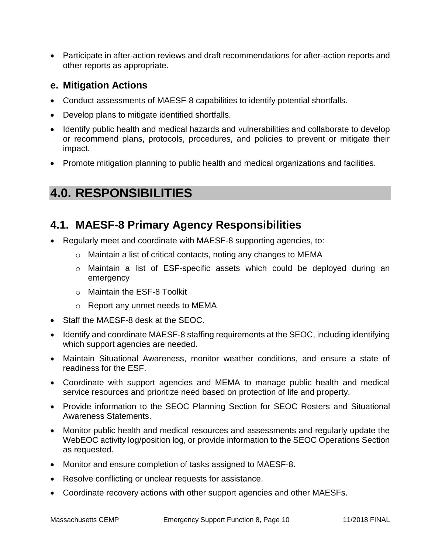Participate in after-action reviews and draft recommendations for after-action reports and other reports as appropriate.

## **e. Mitigation Actions**

- Conduct assessments of MAESF-8 capabilities to identify potential shortfalls.
- Develop plans to mitigate identified shortfalls.
- Identify public health and medical hazards and vulnerabilities and collaborate to develop or recommend plans, protocols, procedures, and policies to prevent or mitigate their impact.
- Promote mitigation planning to public health and medical organizations and facilities.

# **4.0. RESPONSIBILITIES**

# **4.1. MAESF-8 Primary Agency Responsibilities**

- Regularly meet and coordinate with MAESF-8 supporting agencies, to:
	- o Maintain a list of critical contacts, noting any changes to MEMA
	- o Maintain a list of ESF-specific assets which could be deployed during an emergency
	- o Maintain the ESF-8 Toolkit
	- o Report any unmet needs to MEMA
- Staff the MAESF-8 desk at the SEOC.
- Identify and coordinate MAESF-8 staffing requirements at the SEOC, including identifying which support agencies are needed.
- Maintain Situational Awareness, monitor weather conditions, and ensure a state of readiness for the ESF.
- Coordinate with support agencies and MEMA to manage public health and medical service resources and prioritize need based on protection of life and property.
- Provide information to the SEOC Planning Section for SEOC Rosters and Situational Awareness Statements.
- Monitor public health and medical resources and assessments and regularly update the WebEOC activity log/position log, or provide information to the SEOC Operations Section as requested.
- Monitor and ensure completion of tasks assigned to MAESF-8.
- Resolve conflicting or unclear requests for assistance.
- Coordinate recovery actions with other support agencies and other MAESFs.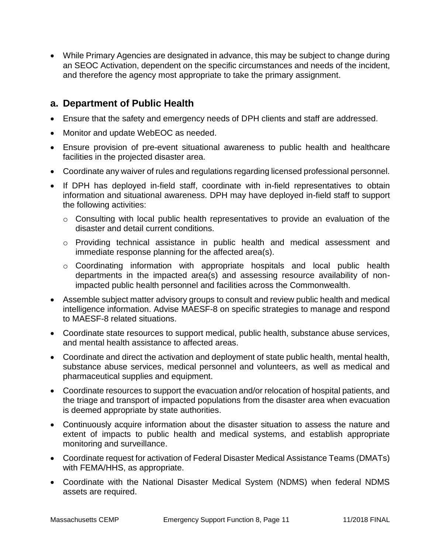While Primary Agencies are designated in advance, this may be subject to change during an SEOC Activation, dependent on the specific circumstances and needs of the incident, and therefore the agency most appropriate to take the primary assignment.

### **a. Department of Public Health**

- Ensure that the safety and emergency needs of DPH clients and staff are addressed.
- Monitor and update WebEOC as needed.
- Ensure provision of pre-event situational awareness to public health and healthcare facilities in the projected disaster area.
- Coordinate any waiver of rules and regulations regarding licensed professional personnel.
- If DPH has deployed in-field staff, coordinate with in-field representatives to obtain information and situational awareness. DPH may have deployed in-field staff to support the following activities:
	- o Consulting with local public health representatives to provide an evaluation of the disaster and detail current conditions.
	- o Providing technical assistance in public health and medical assessment and immediate response planning for the affected area(s).
	- o Coordinating information with appropriate hospitals and local public health departments in the impacted area(s) and assessing resource availability of nonimpacted public health personnel and facilities across the Commonwealth.
- Assemble subject matter advisory groups to consult and review public health and medical intelligence information. Advise MAESF-8 on specific strategies to manage and respond to MAESF-8 related situations.
- Coordinate state resources to support medical, public health, substance abuse services, and mental health assistance to affected areas.
- Coordinate and direct the activation and deployment of state public health, mental health, substance abuse services, medical personnel and volunteers, as well as medical and pharmaceutical supplies and equipment.
- Coordinate resources to support the evacuation and/or relocation of hospital patients, and the triage and transport of impacted populations from the disaster area when evacuation is deemed appropriate by state authorities.
- Continuously acquire information about the disaster situation to assess the nature and extent of impacts to public health and medical systems, and establish appropriate monitoring and surveillance.
- Coordinate request for activation of Federal Disaster Medical Assistance Teams (DMATs) with FEMA/HHS, as appropriate.
- Coordinate with the National Disaster Medical System (NDMS) when federal NDMS assets are required.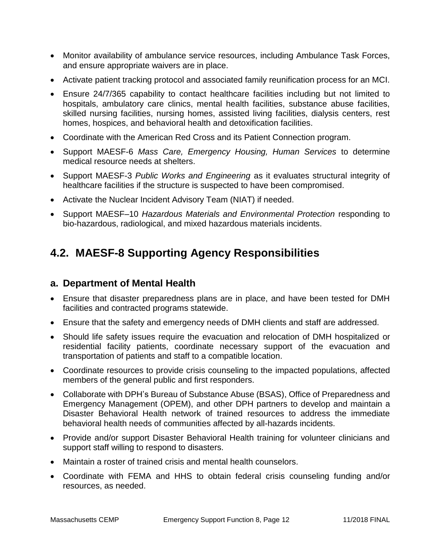- Monitor availability of ambulance service resources, including Ambulance Task Forces, and ensure appropriate waivers are in place.
- Activate patient tracking protocol and associated family reunification process for an MCI.
- Ensure 24/7/365 capability to contact healthcare facilities including but not limited to hospitals, ambulatory care clinics, mental health facilities, substance abuse facilities, skilled nursing facilities, nursing homes, assisted living facilities, dialysis centers, rest homes, hospices, and behavioral health and detoxification facilities.
- Coordinate with the American Red Cross and its Patient Connection program.
- Support MAESF-6 *Mass Care, Emergency Housing, Human Services* to determine medical resource needs at shelters.
- Support MAESF-3 *Public Works and Engineering* as it evaluates structural integrity of healthcare facilities if the structure is suspected to have been compromised.
- Activate the Nuclear Incident Advisory Team (NIAT) if needed.
- Support MAESF–10 *Hazardous Materials and Environmental Protection* responding to bio-hazardous, radiological, and mixed hazardous materials incidents.

# **4.2. MAESF-8 Supporting Agency Responsibilities**

### **a. Department of Mental Health**

- Ensure that disaster preparedness plans are in place, and have been tested for DMH facilities and contracted programs statewide.
- Ensure that the safety and emergency needs of DMH clients and staff are addressed.
- Should life safety issues require the evacuation and relocation of DMH hospitalized or residential facility patients, coordinate necessary support of the evacuation and transportation of patients and staff to a compatible location.
- Coordinate resources to provide crisis counseling to the impacted populations, affected members of the general public and first responders.
- Collaborate with DPH's Bureau of Substance Abuse (BSAS), Office of Preparedness and Emergency Management (OPEM), and other DPH partners to develop and maintain a Disaster Behavioral Health network of trained resources to address the immediate behavioral health needs of communities affected by all-hazards incidents.
- Provide and/or support Disaster Behavioral Health training for volunteer clinicians and support staff willing to respond to disasters.
- Maintain a roster of trained crisis and mental health counselors.
- Coordinate with FEMA and HHS to obtain federal crisis counseling funding and/or resources, as needed.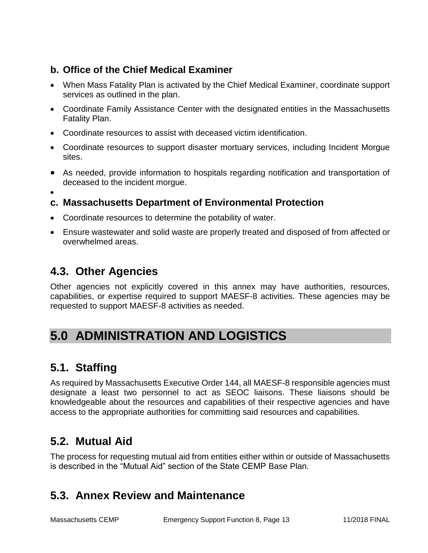## **b. Office of the Chief Medical Examiner**

- When Mass Fatality Plan is activated by the Chief Medical Examiner, coordinate support services as outlined in the plan.
- Coordinate Family Assistance Center with the designated entities in the Massachusetts Fatality Plan.
- Coordinate resources to assist with deceased victim identification.
- Coordinate resources to support disaster mortuary services, including Incident Morgue sites.
- As needed, provide information to hospitals regarding notification and transportation of deceased to the incident morgue.
- $\bullet$

## **c. Massachusetts Department of Environmental Protection**

- Coordinate resources to determine the potability of water.
- Ensure wastewater and solid waste are properly treated and disposed of from affected or overwhelmed areas.

# **4.3. Other Agencies**

Other agencies not explicitly covered in this annex may have authorities, resources, capabilities, or expertise required to support MAESF-8 activities. These agencies may be requested to support MAESF-8 activities as needed.

# **5.0 ADMINISTRATION AND LOGISTICS**

# **5.1. Staffing**

As required by Massachusetts Executive Order 144, all MAESF-8 responsible agencies must designate a least two personnel to act as SEOC liaisons. These liaisons should be knowledgeable about the resources and capabilities of their respective agencies and have access to the appropriate authorities for committing said resources and capabilities.

# **5.2. Mutual Aid**

The process for requesting mutual aid from entities either within or outside of Massachusetts is described in the "Mutual Aid" section of the State CEMP Base Plan.

# **5.3. Annex Review and Maintenance**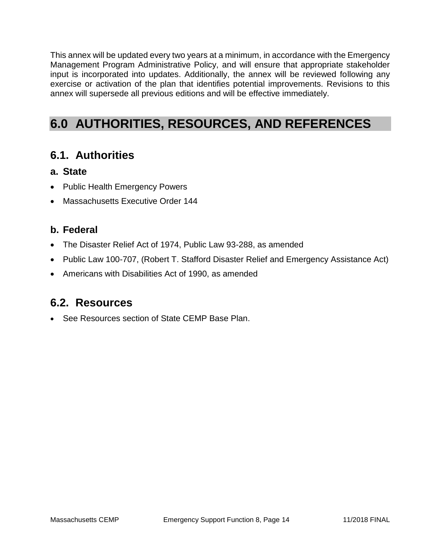This annex will be updated every two years at a minimum, in accordance with the Emergency Management Program Administrative Policy, and will ensure that appropriate stakeholder input is incorporated into updates. Additionally, the annex will be reviewed following any exercise or activation of the plan that identifies potential improvements. Revisions to this annex will supersede all previous editions and will be effective immediately.

# **6.0 AUTHORITIES, RESOURCES, AND REFERENCES**

## **6.1. Authorities**

- **a. State**
- Public Health Emergency Powers
- Massachusetts Executive Order 144

### **b. Federal**

- The Disaster Relief Act of 1974, Public Law 93-288, as amended
- Public Law 100-707, (Robert T. Stafford Disaster Relief and Emergency Assistance Act)
- Americans with Disabilities Act of 1990, as amended

## **6.2. Resources**

• See Resources section of State CEMP Base Plan.